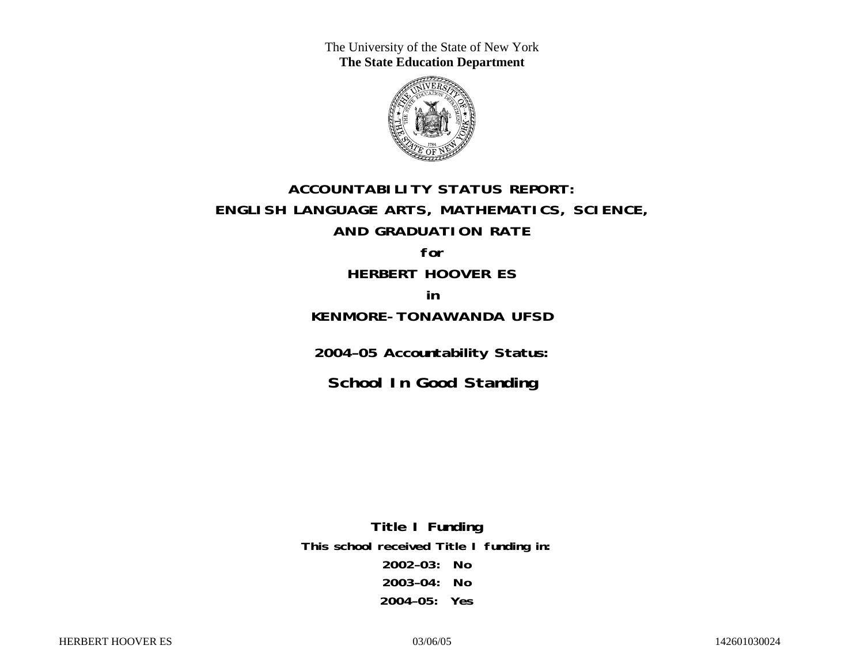The University of the State of New York **The State Education Department** 



# **ACCOUNTABILITY STATUS REPORT: ENGLISH LANGUAGE ARTS, MATHEMATICS, SCIENCE, AND GRADUATION RATE for**

**HERBERT HOOVER ES in** 

## **KENMORE-TONAWANDA UFSD**

**2004–05 Accountability Status:** 

**School In Good Standing** 

**Title I Funding This school received Title I funding in: 2002–03: No 2003–04: No 2004–05: Yes**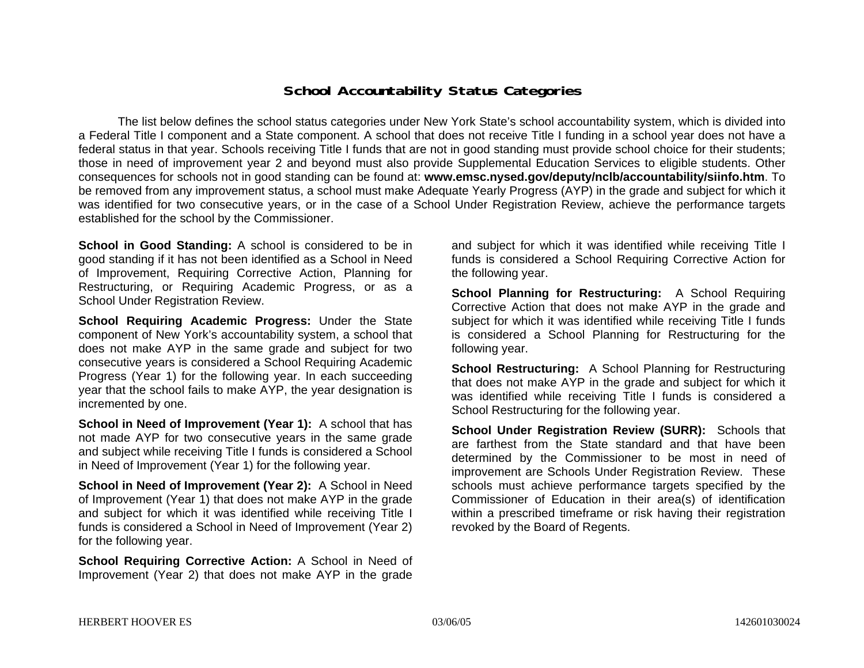### **School Accountability Status Categories**

The list below defines the school status categories under New York State's school accountability system, which is divided into a Federal Title I component and a State component. A school that does not receive Title I funding in a school year does not have a federal status in that year. Schools receiving Title I funds that are not in good standing must provide school choice for their students; those in need of improvement year 2 and beyond must also provide Supplemental Education Services to eligible students. Other consequences for schools not in good standing can be found at: **www.emsc.nysed.gov/deputy/nclb/accountability/siinfo.htm**. To be removed from any improvement status, a school must make Adequate Yearly Progress (AYP) in the grade and subject for which it was identified for two consecutive years, or in the case of a School Under Registration Review, achieve the performance targets established for the school by the Commissioner.

**School in Good Standing:** A school is considered to be in good standing if it has not been identified as a School in Need of Improvement, Requiring Corrective Action, Planning for Restructuring, or Requiring Academic Progress, or as a School Under Registration Review.

**School Requiring Academic Progress:** Under the State component of New York's accountability system, a school that does not make AYP in the same grade and subject for two consecutive years is considered a School Requiring Academic Progress (Year 1) for the following year. In each succeeding year that the school fails to make AYP, the year designation is incremented by one.

**School in Need of Improvement (Year 1):** A school that has not made AYP for two consecutive years in the same grade and subject while receiving Title I funds is considered a School in Need of Improvement (Year 1) for the following year.

**School in Need of Improvement (Year 2):** A School in Need of Improvement (Year 1) that does not make AYP in the grade and subject for which it was identified while receiving Title I funds is considered a School in Need of Improvement (Year 2) for the following year.

**School Requiring Corrective Action:** A School in Need of Improvement (Year 2) that does not make AYP in the grade

and subject for which it was identified while receiving Title I funds is considered a School Requiring Corrective Action for the following year.

**School Planning for Restructuring:** A School Requiring Corrective Action that does not make AYP in the grade and subject for which it was identified while receiving Title I funds is considered a School Planning for Restructuring for the following year.

**School Restructuring:** A School Planning for Restructuring that does not make AYP in the grade and subject for which it was identified while receiving Title I funds is considered a School Restructuring for the following year.

**School Under Registration Review (SURR):** Schools that are farthest from the State standard and that have been determined by the Commissioner to be most in need of improvement are Schools Under Registration Review. These schools must achieve performance targets specified by the Commissioner of Education in their area(s) of identification within a prescribed timeframe or risk having their registration revoked by the Board of Regents.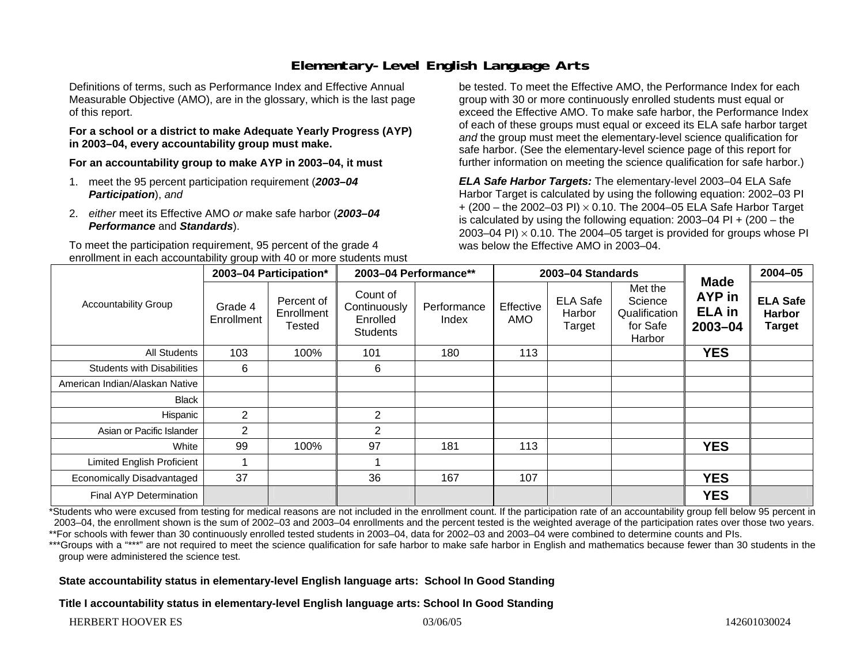# **Elementary-Level English Language Arts**

Definitions of terms, such as Performance Index and Effective Annual Measurable Objective (AMO), are in the glossary, which is the last page of this report.

#### **For a school or a district to make Adequate Yearly Progress (AYP) in 2003–04, every accountability group must make.**

**For an accountability group to make AYP in 2003–04, it must** 

- 1. meet the 95 percent participation requirement (*2003–04 Participation*), *and*
- 2. *either* meet its Effective AMO *or* make safe harbor (*2003–04 Performance* and *Standards*).

To meet the participation requirement, 95 percent of the grade 4 enrollment in each accountability group with 40 or more students must be tested. To meet the Effective AMO, the Performance Index for each group with 30 or more continuously enrolled students must equal or exceed the Effective AMO. To make safe harbor, the Performance Index of each of these groups must equal or exceed its ELA safe harbor target *and* the group must meet the elementary-level science qualification for safe harbor. (See the elementary-level science page of this report for further information on meeting the science qualification for safe harbor.)

*ELA Safe Harbor Targets:* The elementary-level 2003–04 ELA Safe Harbor Target is calculated by using the following equation: 2002–03 PI + (200 – the 2002–03 PI) <sup>×</sup> 0.10. The 2004–05 ELA Safe Harbor Target is calculated by using the following equation: 2003–04 PI + (200 – the 2003–04 PI)  $\times$  0.10. The 2004–05 target is provided for groups whose PI was below the Effective AMO in 2003–04.

| <b>Accountability Group</b>       | 2003-04 Participation* |                                    | 2003-04 Performance**                                   |                      | 2003-04 Standards |                                     |                                                           |                                                          | $2004 - 05$                                       |
|-----------------------------------|------------------------|------------------------------------|---------------------------------------------------------|----------------------|-------------------|-------------------------------------|-----------------------------------------------------------|----------------------------------------------------------|---------------------------------------------------|
|                                   | Grade 4<br>Enrollment  | Percent of<br>Enrollment<br>Tested | Count of<br>Continuously<br>Enrolled<br><b>Students</b> | Performance<br>Index | Effective<br>AMO  | <b>ELA Safe</b><br>Harbor<br>Target | Met the<br>Science<br>Qualification<br>for Safe<br>Harbor | <b>Made</b><br><b>AYP</b> in<br><b>ELA</b> in<br>2003-04 | <b>ELA Safe</b><br><b>Harbor</b><br><b>Target</b> |
| All Students                      | 103                    | 100%                               | 101                                                     | 180                  | 113               |                                     |                                                           | <b>YES</b>                                               |                                                   |
| <b>Students with Disabilities</b> | 6                      |                                    | 6                                                       |                      |                   |                                     |                                                           |                                                          |                                                   |
| American Indian/Alaskan Native    |                        |                                    |                                                         |                      |                   |                                     |                                                           |                                                          |                                                   |
| Black                             |                        |                                    |                                                         |                      |                   |                                     |                                                           |                                                          |                                                   |
| Hispanic                          | $\overline{2}$         |                                    | $\overline{2}$                                          |                      |                   |                                     |                                                           |                                                          |                                                   |
| Asian or Pacific Islander         | 2                      |                                    | 2                                                       |                      |                   |                                     |                                                           |                                                          |                                                   |
| White                             | 99                     | 100%                               | 97                                                      | 181                  | 113               |                                     |                                                           | <b>YES</b>                                               |                                                   |
| <b>Limited English Proficient</b> |                        |                                    |                                                         |                      |                   |                                     |                                                           |                                                          |                                                   |
| Economically Disadvantaged        | 37                     |                                    | 36                                                      | 167                  | 107               |                                     |                                                           | <b>YES</b>                                               |                                                   |
| <b>Final AYP Determination</b>    |                        |                                    |                                                         |                      |                   |                                     |                                                           | <b>YES</b>                                               |                                                   |

\*Students who were excused from testing for medical reasons are not included in the enrollment count. If the participation rate of an accountability group fell below 95 percent in 2003–04, the enrollment shown is the sum of 2002–03 and 2003–04 enrollments and the percent tested is the weighted average of the participation rates over those two years. \*\*For schools with fewer than 30 continuously enrolled tested students in 2003–04, data for 2002–03 and 2003–04 were combined to determine counts and PIs.

\*\*\*Groups with a "\*\*\*" are not required to meet the science qualification for safe harbor to make safe harbor in English and mathematics because fewer than 30 students in the group were administered the science test.

#### **State accountability status in elementary-level English language arts: School In Good Standing**

**Title I accountability status in elementary-level English language arts: School In Good Standing**

HERBERT HOOVER ES 03/06/05 142601030024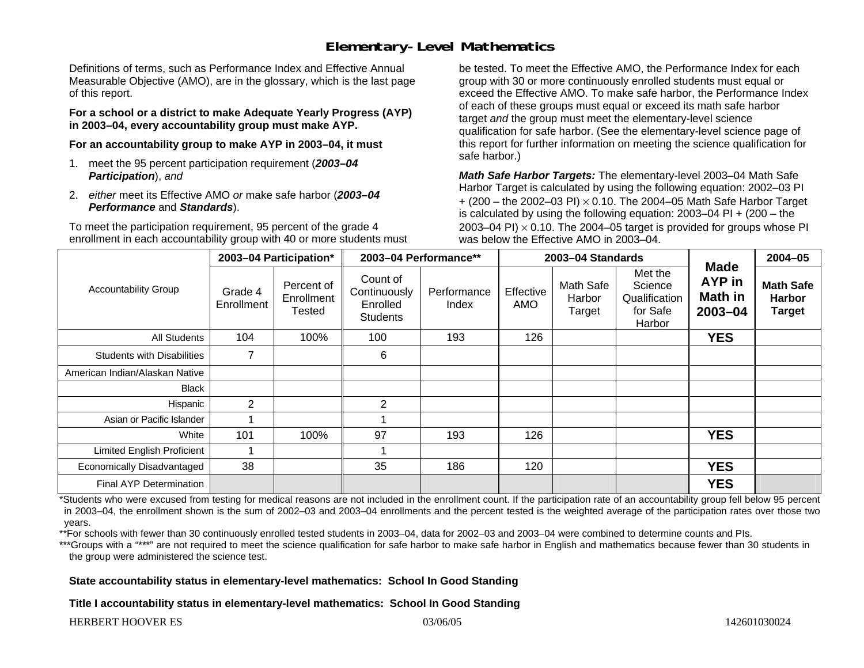## **Elementary-Level Mathematics**

Definitions of terms, such as Performance Index and Effective Annual Measurable Objective (AMO), are in the glossary, which is the last page of this report.

**For a school or a district to make Adequate Yearly Progress (AYP) in 2003–04, every accountability group must make AYP.** 

**For an accountability group to make AYP in 2003–04, it must** 

- 1. meet the 95 percent participation requirement (*2003–04 Participation*), *and*
- 2. *either* meet its Effective AMO *or* make safe harbor (*2003–04 Performance* and *Standards*).

To meet the participation requirement, 95 percent of the grade 4 enrollment in each accountability group with 40 or more students must be tested. To meet the Effective AMO, the Performance Index for each group with 30 or more continuously enrolled students must equal or exceed the Effective AMO. To make safe harbor, the Performance Index of each of these groups must equal or exceed its math safe harbor target *and* the group must meet the elementary-level science qualification for safe harbor. (See the elementary-level science page of this report for further information on meeting the science qualification for safe harbor.)

*Math Safe Harbor Targets:* The elementary-level 2003–04 Math Safe Harbor Target is calculated by using the following equation: 2002–03 PI + (200 – the 2002–03 PI) <sup>×</sup> 0.10. The 2004–05 Math Safe Harbor Target is calculated by using the following equation: 2003–04 PI + (200 – the 2003–04 PI)  $\times$  0.10. The 2004–05 target is provided for groups whose PI was below the Effective AMO in 2003–04.

| <b>Accountability Group</b>       | 2003-04 Participation* |                                    | 2003-04 Performance**                                   |                      | 2003-04 Standards |                               |                                                           |                                                        | 2004-05                                            |
|-----------------------------------|------------------------|------------------------------------|---------------------------------------------------------|----------------------|-------------------|-------------------------------|-----------------------------------------------------------|--------------------------------------------------------|----------------------------------------------------|
|                                   | Grade 4<br>Enrollment  | Percent of<br>Enrollment<br>Tested | Count of<br>Continuously<br>Enrolled<br><b>Students</b> | Performance<br>Index | Effective<br>AMO  | Math Safe<br>Harbor<br>Target | Met the<br>Science<br>Qualification<br>for Safe<br>Harbor | <b>Made</b><br><b>AYP</b> in<br>Math in<br>$2003 - 04$ | <b>Math Safe</b><br><b>Harbor</b><br><b>Target</b> |
| All Students                      | 104                    | 100%                               | 100                                                     | 193                  | 126               |                               |                                                           | <b>YES</b>                                             |                                                    |
| <b>Students with Disabilities</b> | 7                      |                                    | 6                                                       |                      |                   |                               |                                                           |                                                        |                                                    |
| American Indian/Alaskan Native    |                        |                                    |                                                         |                      |                   |                               |                                                           |                                                        |                                                    |
| <b>Black</b>                      |                        |                                    |                                                         |                      |                   |                               |                                                           |                                                        |                                                    |
| Hispanic                          | $\overline{2}$         |                                    | 2                                                       |                      |                   |                               |                                                           |                                                        |                                                    |
| Asian or Pacific Islander         |                        |                                    |                                                         |                      |                   |                               |                                                           |                                                        |                                                    |
| White                             | 101                    | 100%                               | 97                                                      | 193                  | 126               |                               |                                                           | <b>YES</b>                                             |                                                    |
| <b>Limited English Proficient</b> |                        |                                    |                                                         |                      |                   |                               |                                                           |                                                        |                                                    |
| Economically Disadvantaged        | 38                     |                                    | 35                                                      | 186                  | 120               |                               |                                                           | <b>YES</b>                                             |                                                    |
| Final AYP Determination           |                        |                                    |                                                         |                      |                   |                               |                                                           | <b>YES</b>                                             |                                                    |

\*Students who were excused from testing for medical reasons are not included in the enrollment count. If the participation rate of an accountability group fell below 95 percent in 2003–04, the enrollment shown is the sum of 2002–03 and 2003–04 enrollments and the percent tested is the weighted average of the participation rates over those two years.

\*\*For schools with fewer than 30 continuously enrolled tested students in 2003–04, data for 2002–03 and 2003–04 were combined to determine counts and PIs.

\*\*\*Groups with a "\*\*\*" are not required to meet the science qualification for safe harbor to make safe harbor in English and mathematics because fewer than 30 students in the group were administered the science test.

**State accountability status in elementary-level mathematics: School In Good Standing** 

**Title I accountability status in elementary-level mathematics: School In Good Standing**

HERBERT HOOVER ES 03/06/05 142601030024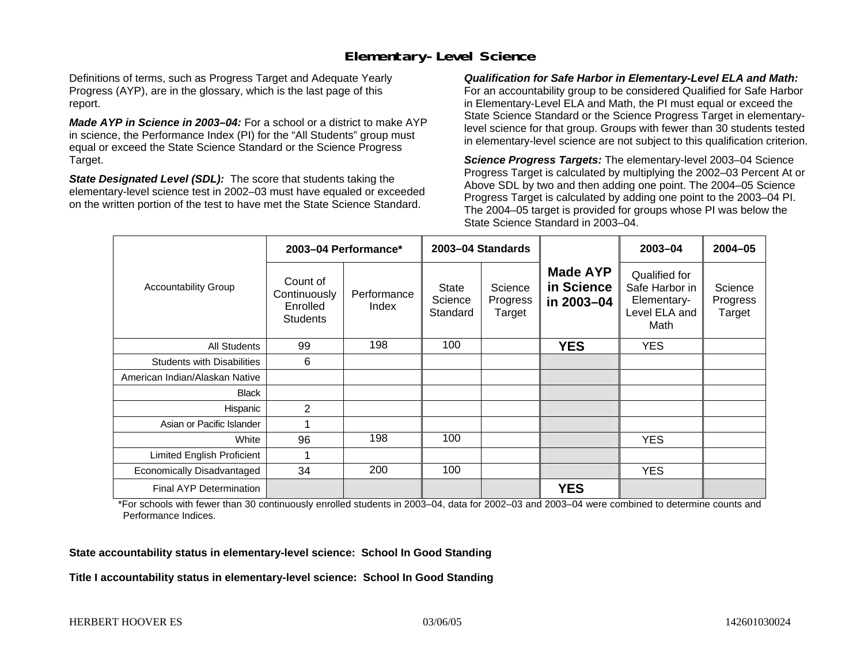## **Elementary-Level Science**

Definitions of terms, such as Progress Target and Adequate Yearly Progress (AYP), are in the glossary, which is the last page of this report.

*Made AYP in Science in 2003–04:* For a school or a district to make AYP in science, the Performance Index (PI) for the "All Students" group must equal or exceed the State Science Standard or the Science Progress Target.

*State Designated Level (SDL):* The score that students taking the elementary-level science test in 2002–03 must have equaled or exceeded on the written portion of the test to have met the State Science Standard.

*Qualification for Safe Harbor in Elementary-Level ELA and Math:* For an accountability group to be considered Qualified for Safe Harbor in Elementary-Level ELA and Math, the PI must equal or exceed the State Science Standard or the Science Progress Target in elementarylevel science for that group. Groups with fewer than 30 students tested in elementary-level science are not subject to this qualification criterion.

*Science Progress Targets:* The elementary-level 2003–04 Science Progress Target is calculated by multiplying the 2002–03 Percent At or Above SDL by two and then adding one point. The 2004–05 Science Progress Target is calculated by adding one point to the 2003–04 PI. The 2004–05 target is provided for groups whose PI was below the State Science Standard in 2003–04.

|                                   |                                                         | 2003-04 Performance* | 2003-04 Standards            |                               |                                             | 2003-04                                                                 | $2004 - 05$                   |
|-----------------------------------|---------------------------------------------------------|----------------------|------------------------------|-------------------------------|---------------------------------------------|-------------------------------------------------------------------------|-------------------------------|
| <b>Accountability Group</b>       | Count of<br>Continuously<br>Enrolled<br><b>Students</b> | Performance<br>Index | State<br>Science<br>Standard | Science<br>Progress<br>Target | <b>Made AYP</b><br>in Science<br>in 2003-04 | Qualified for<br>Safe Harbor in<br>Elementary-<br>Level ELA and<br>Math | Science<br>Progress<br>Target |
| All Students                      | 99                                                      | 198                  | 100                          |                               | <b>YES</b>                                  | <b>YES</b>                                                              |                               |
| <b>Students with Disabilities</b> | 6                                                       |                      |                              |                               |                                             |                                                                         |                               |
| American Indian/Alaskan Native    |                                                         |                      |                              |                               |                                             |                                                                         |                               |
| <b>Black</b>                      |                                                         |                      |                              |                               |                                             |                                                                         |                               |
| Hispanic                          | 2                                                       |                      |                              |                               |                                             |                                                                         |                               |
| Asian or Pacific Islander         |                                                         |                      |                              |                               |                                             |                                                                         |                               |
| White                             | 96                                                      | 198                  | 100                          |                               |                                             | <b>YES</b>                                                              |                               |
| Limited English Proficient        |                                                         |                      |                              |                               |                                             |                                                                         |                               |
| Economically Disadvantaged        | 34                                                      | 200                  | 100                          |                               |                                             | <b>YES</b>                                                              |                               |
| <b>Final AYP Determination</b>    |                                                         |                      |                              |                               | <b>YES</b>                                  |                                                                         |                               |

\*For schools with fewer than 30 continuously enrolled students in 2003–04, data for 2002–03 and 2003–04 were combined to determine counts and Performance Indices.

**State accountability status in elementary-level science: School In Good Standing** 

**Title I accountability status in elementary-level science: School In Good Standing**